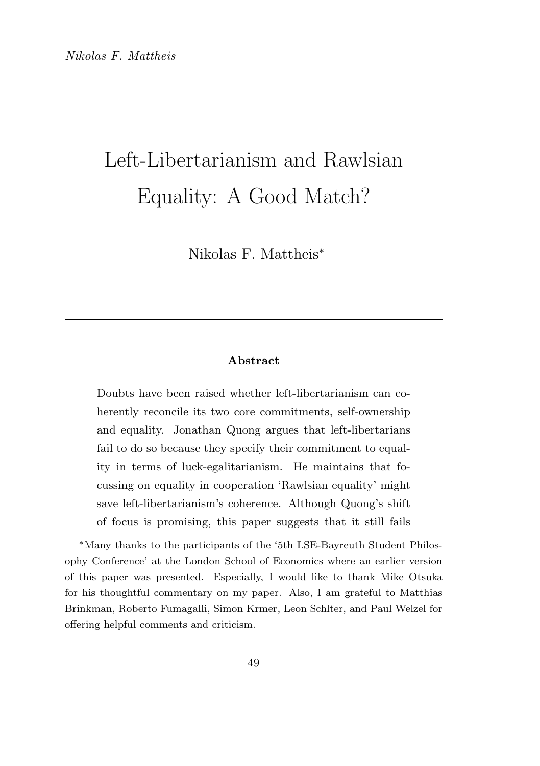# Left-Libertarianism and Rawlsian Equality: A Good Match?

Nikolas F. Mattheis<sup>∗</sup>

#### Abstract

Doubts have been raised whether left-libertarianism can coherently reconcile its two core commitments, self-ownership and equality. Jonathan Quong argues that left-libertarians fail to do so because they specify their commitment to equality in terms of luck-egalitarianism. He maintains that focussing on equality in cooperation 'Rawlsian equality' might save left-libertarianism's coherence. Although Quong's shift of focus is promising, this paper suggests that it still fails

<sup>∗</sup>Many thanks to the participants of the '5th LSE-Bayreuth Student Philosophy Conference' at the London School of Economics where an earlier version of this paper was presented. Especially, I would like to thank Mike Otsuka for his thoughtful commentary on my paper. Also, I am grateful to Matthias Brinkman, Roberto Fumagalli, Simon Krmer, Leon Schlter, and Paul Welzel for offering helpful comments and criticism.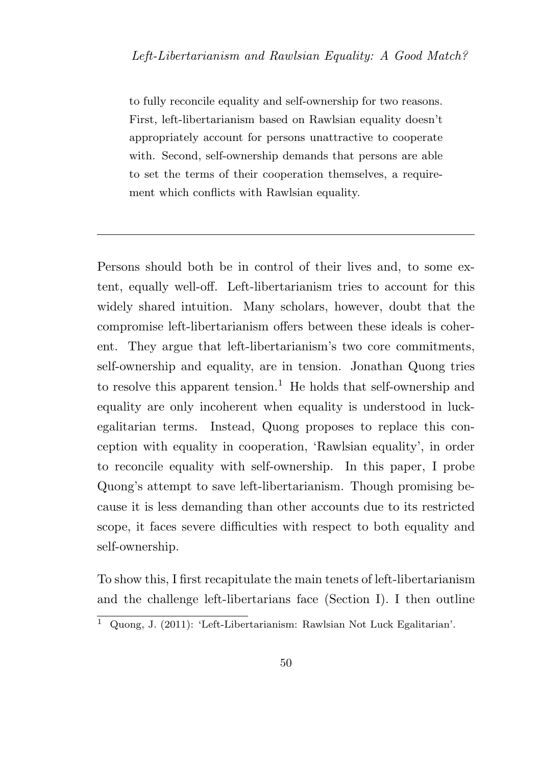to fully reconcile equality and self-ownership for two reasons. First, left-libertarianism based on Rawlsian equality doesn't appropriately account for persons unattractive to cooperate with. Second, self-ownership demands that persons are able to set the terms of their cooperation themselves, a requirement which conflicts with Rawlsian equality.

Persons should both be in control of their lives and, to some extent, equally well-off. Left-libertarianism tries to account for this widely shared intuition. Many scholars, however, doubt that the compromise left-libertarianism offers between these ideals is coherent. They argue that left-libertarianism's two core commitments, self-ownership and equality, are in tension. Jonathan Quong tries to resolve this apparent tension.<sup>1</sup> He holds that self-ownership and equality are only incoherent when equality is understood in luckegalitarian terms. Instead, Quong proposes to replace this conception with equality in cooperation, 'Rawlsian equality', in order to reconcile equality with self-ownership. In this paper, I probe Quong's attempt to save left-libertarianism. Though promising because it is less demanding than other accounts due to its restricted scope, it faces severe difficulties with respect to both equality and self-ownership.

To show this, I first recapitulate the main tenets of left-libertarianism and the challenge left-libertarians face (Section I). I then outline

 $\overline{1}$  Quong, J. (2011): 'Left-Libertarianism: Rawlsian Not Luck Egalitarian'.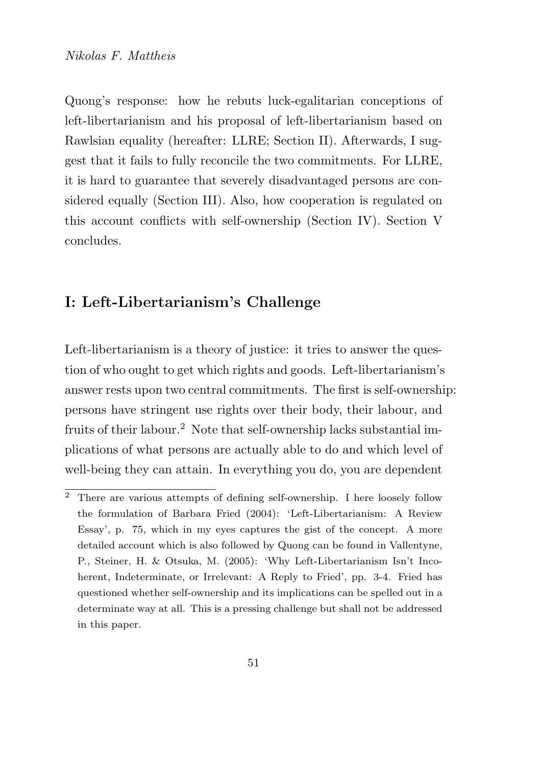Quong's response: how he rebuts luck-egalitarian conceptions of left-libertarianism and his proposal of left-libertarianism based on Rawlsian equality (hereafter: LLRE; Section II). Afterwards, I suggest that it fails to fully reconcile the two commitments. For LLRE, it is hard to guarantee that severely disadvantaged persons are considered equally (Section III). Also, how cooperation is regulated on this account conflicts with self-ownership (Section IV). Section V concludes.

#### I: Left-Libertarianism's Challenge

Left-libertarianism is a theory of justice: it tries to answer the question of who ought to get which rights and goods. Left-libertarianism's answer rests upon two central commitments. The first is self-ownership: persons have stringent use rights over their body, their labour, and fruits of their labour.<sup>2</sup> Note that self-ownership lacks substantial implications of what persons are actually able to do and which level of well-being they can attain. In everything you do, you are dependent

<sup>2</sup> There are various attempts of defining self-ownership. I here loosely follow the formulation of Barbara Fried (2004): 'Left-Libertarianism: A Review Essay', p. 75, which in my eyes captures the gist of the concept. A more detailed account which is also followed by Quong can be found in Vallentyne, P., Steiner, H. & Otsuka, M. (2005): 'Why Left-Libertarianism Isn't Incoherent, Indeterminate, or Irrelevant: A Reply to Fried', pp. 3-4. Fried has questioned whether self-ownership and its implications can be spelled out in a determinate way at all. This is a pressing challenge but shall not be addressed in this paper.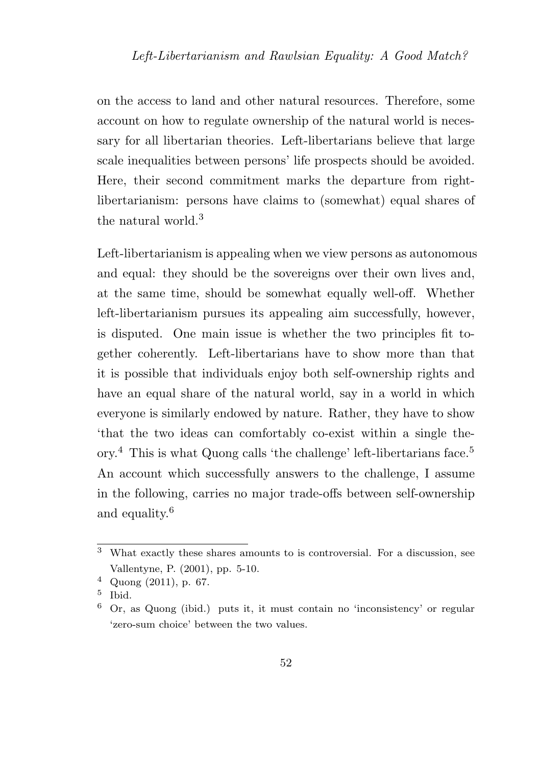on the access to land and other natural resources. Therefore, some account on how to regulate ownership of the natural world is necessary for all libertarian theories. Left-libertarians believe that large scale inequalities between persons' life prospects should be avoided. Here, their second commitment marks the departure from rightlibertarianism: persons have claims to (somewhat) equal shares of the natural world  $3$ 

Left-libertarianism is appealing when we view persons as autonomous and equal: they should be the sovereigns over their own lives and, at the same time, should be somewhat equally well-off. Whether left-libertarianism pursues its appealing aim successfully, however, is disputed. One main issue is whether the two principles fit together coherently. Left-libertarians have to show more than that it is possible that individuals enjoy both self-ownership rights and have an equal share of the natural world, say in a world in which everyone is similarly endowed by nature. Rather, they have to show 'that the two ideas can comfortably co-exist within a single theory.<sup>4</sup> This is what Quong calls 'the challenge' left-libertarians face.<sup>5</sup> An account which successfully answers to the challenge, I assume in the following, carries no major trade-offs between self-ownership and equality.<sup>6</sup>

<sup>3</sup> What exactly these shares amounts to is controversial. For a discussion, see Vallentyne, P. (2001), pp. 5-10.

<sup>4</sup> Quong (2011), p. 67.

<sup>5</sup> Ibid.

<sup>6</sup> Or, as Quong (ibid.) puts it, it must contain no 'inconsistency' or regular 'zero-sum choice' between the two values.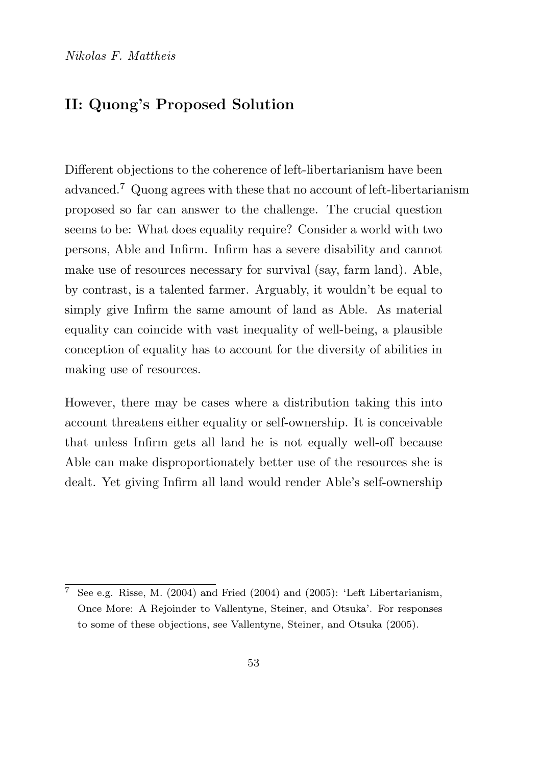## II: Quong's Proposed Solution

Different objections to the coherence of left-libertarianism have been advanced.<sup>7</sup> Quong agrees with these that no account of left-libertarianism proposed so far can answer to the challenge. The crucial question seems to be: What does equality require? Consider a world with two persons, Able and Infirm. Infirm has a severe disability and cannot make use of resources necessary for survival (say, farm land). Able, by contrast, is a talented farmer. Arguably, it wouldn't be equal to simply give Infirm the same amount of land as Able. As material equality can coincide with vast inequality of well-being, a plausible conception of equality has to account for the diversity of abilities in making use of resources.

However, there may be cases where a distribution taking this into account threatens either equality or self-ownership. It is conceivable that unless Infirm gets all land he is not equally well-off because Able can make disproportionately better use of the resources she is dealt. Yet giving Infirm all land would render Able's self-ownership

<sup>&</sup>lt;sup>7</sup> See e.g. Risse, M. (2004) and Fried (2004) and (2005): 'Left Libertarianism, Once More: A Rejoinder to Vallentyne, Steiner, and Otsuka'. For responses to some of these objections, see Vallentyne, Steiner, and Otsuka (2005).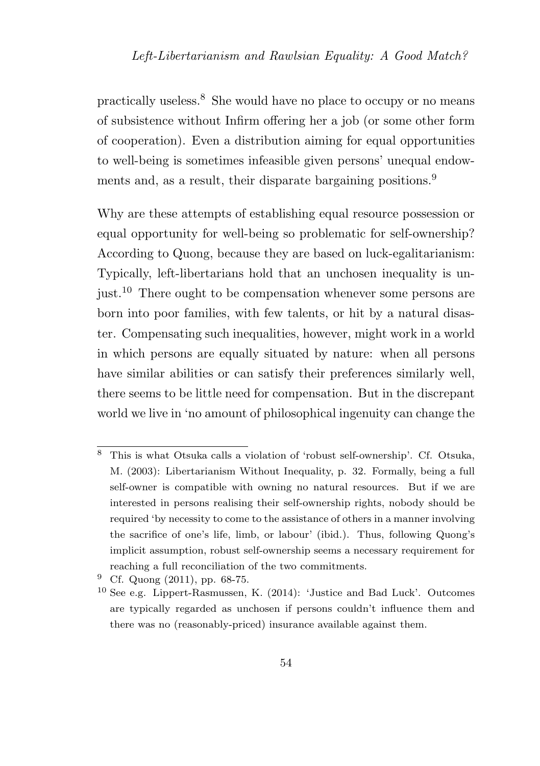practically useless.<sup>8</sup> She would have no place to occupy or no means of subsistence without Infirm offering her a job (or some other form of cooperation). Even a distribution aiming for equal opportunities to well-being is sometimes infeasible given persons' unequal endowments and, as a result, their disparate bargaining positions.<sup>9</sup>

Why are these attempts of establishing equal resource possession or equal opportunity for well-being so problematic for self-ownership? According to Quong, because they are based on luck-egalitarianism: Typically, left-libertarians hold that an unchosen inequality is unjust.<sup>10</sup> There ought to be compensation whenever some persons are born into poor families, with few talents, or hit by a natural disaster. Compensating such inequalities, however, might work in a world in which persons are equally situated by nature: when all persons have similar abilities or can satisfy their preferences similarly well, there seems to be little need for compensation. But in the discrepant world we live in 'no amount of philosophical ingenuity can change the

<sup>8</sup> This is what Otsuka calls a violation of 'robust self-ownership'. Cf. Otsuka, M. (2003): Libertarianism Without Inequality, p. 32. Formally, being a full self-owner is compatible with owning no natural resources. But if we are interested in persons realising their self-ownership rights, nobody should be required 'by necessity to come to the assistance of others in a manner involving the sacrifice of one's life, limb, or labour' (ibid.). Thus, following Quong's implicit assumption, robust self-ownership seems a necessary requirement for reaching a full reconciliation of the two commitments.

 $9$  Cf. Quong (2011), pp. 68-75.

<sup>10</sup> See e.g. Lippert-Rasmussen, K. (2014): 'Justice and Bad Luck'. Outcomes are typically regarded as unchosen if persons couldn't influence them and there was no (reasonably-priced) insurance available against them.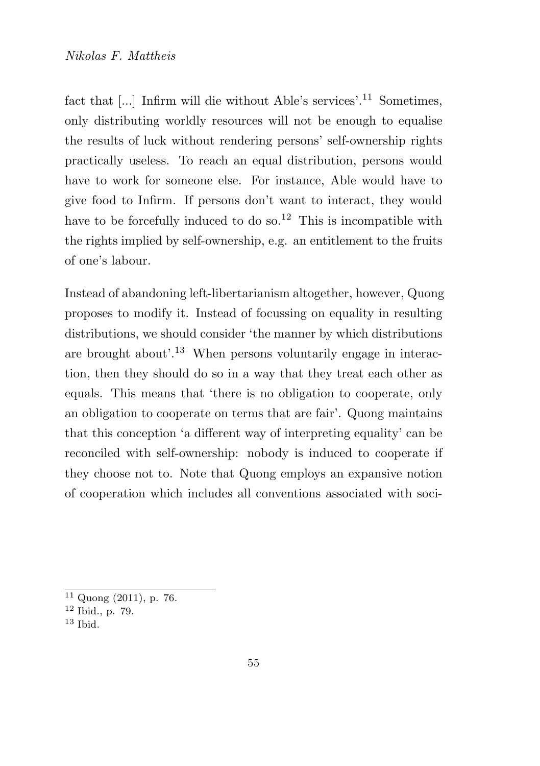fact that [...] Infirm will die without Able's services'.<sup>11</sup> Sometimes, only distributing worldly resources will not be enough to equalise the results of luck without rendering persons' self-ownership rights practically useless. To reach an equal distribution, persons would have to work for someone else. For instance, Able would have to give food to Infirm. If persons don't want to interact, they would have to be forcefully induced to do so.<sup>12</sup> This is incompatible with the rights implied by self-ownership, e.g. an entitlement to the fruits of one's labour.

Instead of abandoning left-libertarianism altogether, however, Quong proposes to modify it. Instead of focussing on equality in resulting distributions, we should consider 'the manner by which distributions are brought about'.<sup>13</sup> When persons voluntarily engage in interaction, then they should do so in a way that they treat each other as equals. This means that 'there is no obligation to cooperate, only an obligation to cooperate on terms that are fair'. Quong maintains that this conception 'a different way of interpreting equality' can be reconciled with self-ownership: nobody is induced to cooperate if they choose not to. Note that Quong employs an expansive notion of cooperation which includes all conventions associated with soci-

 $11$  Quong (2011), p. 76.

<sup>12</sup> Ibid., p. 79.

<sup>13</sup> Ibid.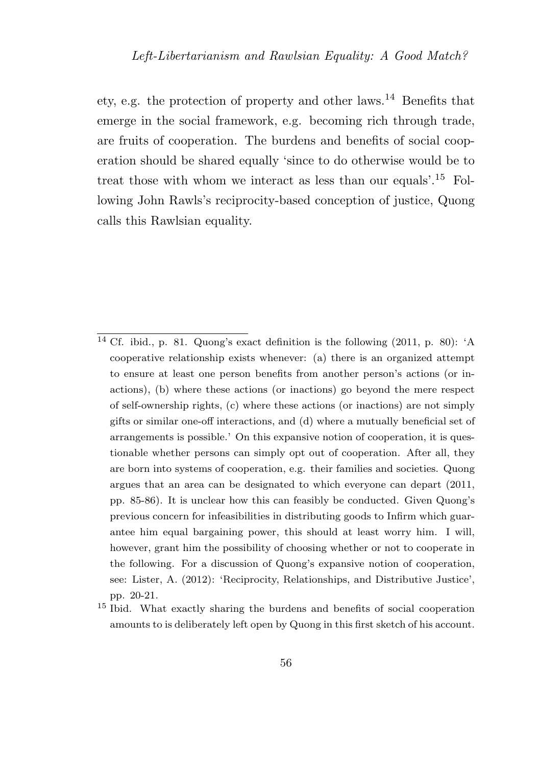ety, e.g. the protection of property and other laws.<sup>14</sup> Benefits that emerge in the social framework, e.g. becoming rich through trade, are fruits of cooperation. The burdens and benefits of social cooperation should be shared equally 'since to do otherwise would be to treat those with whom we interact as less than our equals'.<sup>15</sup> Following John Rawls's reciprocity-based conception of justice, Quong calls this Rawlsian equality.

<sup>&</sup>lt;sup>14</sup> Cf. ibid., p. 81. Quong's exact definition is the following  $(2011, p. 80)$ : 'A cooperative relationship exists whenever: (a) there is an organized attempt to ensure at least one person benefits from another person's actions (or inactions), (b) where these actions (or inactions) go beyond the mere respect of self-ownership rights, (c) where these actions (or inactions) are not simply gifts or similar one-off interactions, and (d) where a mutually beneficial set of arrangements is possible.' On this expansive notion of cooperation, it is questionable whether persons can simply opt out of cooperation. After all, they are born into systems of cooperation, e.g. their families and societies. Quong argues that an area can be designated to which everyone can depart (2011, pp. 85-86). It is unclear how this can feasibly be conducted. Given Quong's previous concern for infeasibilities in distributing goods to Infirm which guarantee him equal bargaining power, this should at least worry him. I will, however, grant him the possibility of choosing whether or not to cooperate in the following. For a discussion of Quong's expansive notion of cooperation, see: Lister, A. (2012): 'Reciprocity, Relationships, and Distributive Justice', pp. 20-21.

<sup>15</sup> Ibid. What exactly sharing the burdens and benefits of social cooperation amounts to is deliberately left open by Quong in this first sketch of his account.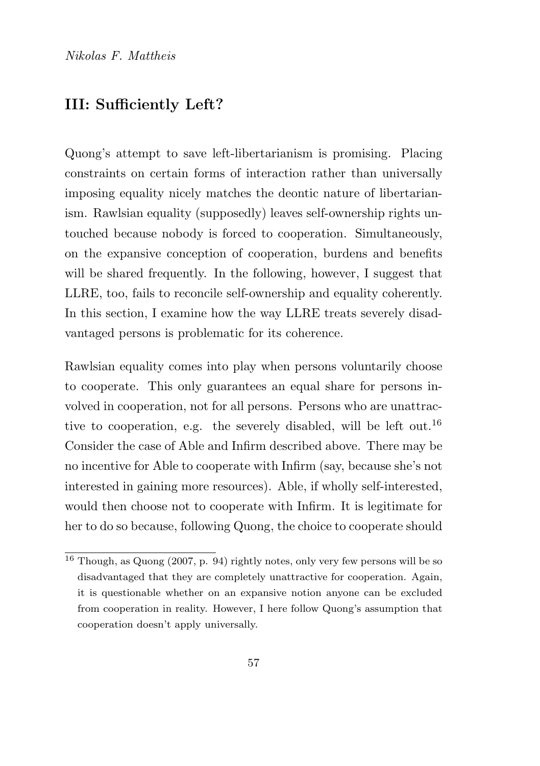#### III: Sufficiently Left?

Quong's attempt to save left-libertarianism is promising. Placing constraints on certain forms of interaction rather than universally imposing equality nicely matches the deontic nature of libertarianism. Rawlsian equality (supposedly) leaves self-ownership rights untouched because nobody is forced to cooperation. Simultaneously, on the expansive conception of cooperation, burdens and benefits will be shared frequently. In the following, however, I suggest that LLRE, too, fails to reconcile self-ownership and equality coherently. In this section, I examine how the way LLRE treats severely disadvantaged persons is problematic for its coherence.

Rawlsian equality comes into play when persons voluntarily choose to cooperate. This only guarantees an equal share for persons involved in cooperation, not for all persons. Persons who are unattractive to cooperation, e.g. the severely disabled, will be left out.<sup>16</sup> Consider the case of Able and Infirm described above. There may be no incentive for Able to cooperate with Infirm (say, because she's not interested in gaining more resources). Able, if wholly self-interested, would then choose not to cooperate with Infirm. It is legitimate for her to do so because, following Quong, the choice to cooperate should

<sup>16</sup> Though, as Quong (2007, p. 94) rightly notes, only very few persons will be so disadvantaged that they are completely unattractive for cooperation. Again, it is questionable whether on an expansive notion anyone can be excluded from cooperation in reality. However, I here follow Quong's assumption that cooperation doesn't apply universally.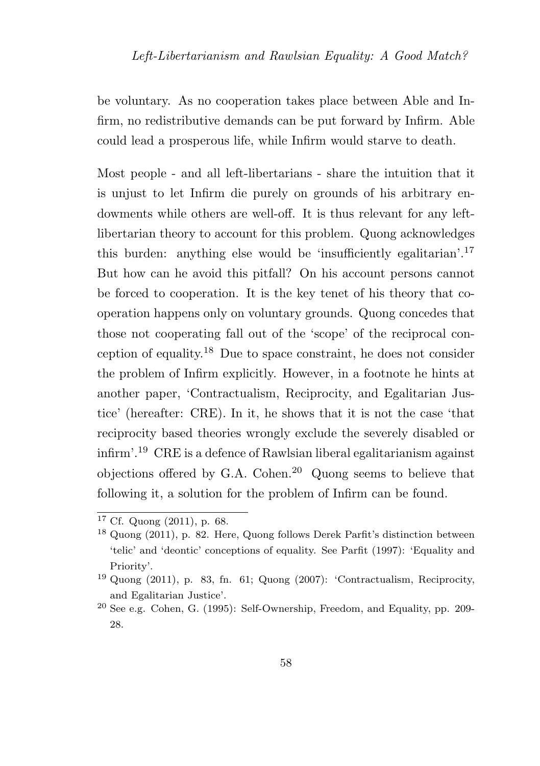be voluntary. As no cooperation takes place between Able and Infirm, no redistributive demands can be put forward by Infirm. Able could lead a prosperous life, while Infirm would starve to death.

Most people - and all left-libertarians - share the intuition that it is unjust to let Infirm die purely on grounds of his arbitrary endowments while others are well-off. It is thus relevant for any leftlibertarian theory to account for this problem. Quong acknowledges this burden: anything else would be 'insufficiently egalitarian'.<sup>17</sup> But how can he avoid this pitfall? On his account persons cannot be forced to cooperation. It is the key tenet of his theory that cooperation happens only on voluntary grounds. Quong concedes that those not cooperating fall out of the 'scope' of the reciprocal conception of equality.<sup>18</sup> Due to space constraint, he does not consider the problem of Infirm explicitly. However, in a footnote he hints at another paper, 'Contractualism, Reciprocity, and Egalitarian Justice' (hereafter: CRE). In it, he shows that it is not the case 'that reciprocity based theories wrongly exclude the severely disabled or infirm'.<sup>19</sup> CRE is a defence of Rawlsian liberal egalitarianism against objections offered by G.A. Cohen.<sup>20</sup> Quong seems to believe that following it, a solution for the problem of Infirm can be found.

 $17 \text{ Cf. Quong } (2011)$ , p. 68.

<sup>18</sup> Quong (2011), p. 82. Here, Quong follows Derek Parfit's distinction between 'telic' and 'deontic' conceptions of equality. See Parfit (1997): 'Equality and Priority'.

 $19$  Quong (2011), p. 83, fn. 61; Quong (2007): 'Contractualism, Reciprocity, and Egalitarian Justice'.

<sup>20</sup> See e.g. Cohen, G. (1995): Self-Ownership, Freedom, and Equality, pp. 209- 28.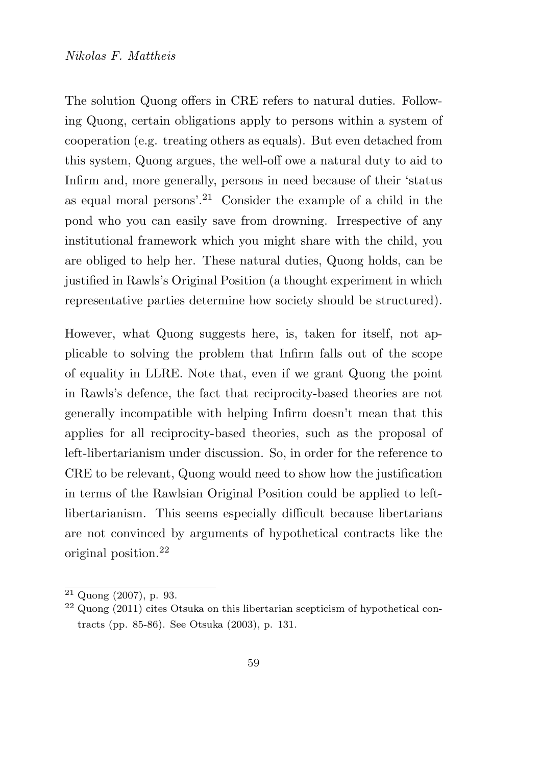The solution Quong offers in CRE refers to natural duties. Following Quong, certain obligations apply to persons within a system of cooperation (e.g. treating others as equals). But even detached from this system, Quong argues, the well-off owe a natural duty to aid to Infirm and, more generally, persons in need because of their 'status as equal moral persons'.<sup>21</sup> Consider the example of a child in the pond who you can easily save from drowning. Irrespective of any institutional framework which you might share with the child, you are obliged to help her. These natural duties, Quong holds, can be justified in Rawls's Original Position (a thought experiment in which representative parties determine how society should be structured).

However, what Quong suggests here, is, taken for itself, not applicable to solving the problem that Infirm falls out of the scope of equality in LLRE. Note that, even if we grant Quong the point in Rawls's defence, the fact that reciprocity-based theories are not generally incompatible with helping Infirm doesn't mean that this applies for all reciprocity-based theories, such as the proposal of left-libertarianism under discussion. So, in order for the reference to CRE to be relevant, Quong would need to show how the justification in terms of the Rawlsian Original Position could be applied to leftlibertarianism. This seems especially difficult because libertarians are not convinced by arguments of hypothetical contracts like the original position.<sup>22</sup>

 $21$  Quong (2007), p. 93.

<sup>22</sup> Quong (2011) cites Otsuka on this libertarian scepticism of hypothetical contracts (pp. 85-86). See Otsuka (2003), p. 131.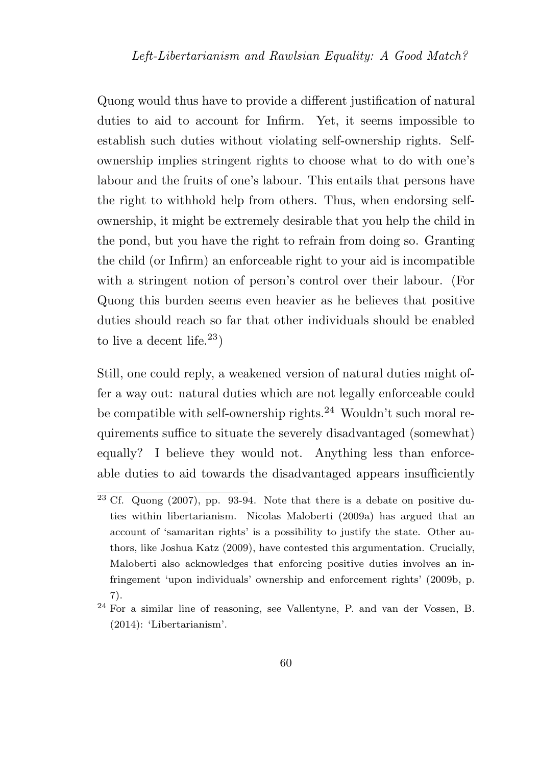Quong would thus have to provide a different justification of natural duties to aid to account for Infirm. Yet, it seems impossible to establish such duties without violating self-ownership rights. Selfownership implies stringent rights to choose what to do with one's labour and the fruits of one's labour. This entails that persons have the right to withhold help from others. Thus, when endorsing selfownership, it might be extremely desirable that you help the child in the pond, but you have the right to refrain from doing so. Granting the child (or Infirm) an enforceable right to your aid is incompatible with a stringent notion of person's control over their labour. (For Quong this burden seems even heavier as he believes that positive duties should reach so far that other individuals should be enabled to live a decent life.<sup>23</sup>)

Still, one could reply, a weakened version of natural duties might offer a way out: natural duties which are not legally enforceable could be compatible with self-ownership rights.<sup>24</sup> Wouldn't such moral requirements suffice to situate the severely disadvantaged (somewhat) equally? I believe they would not. Anything less than enforceable duties to aid towards the disadvantaged appears insufficiently

 $23 \text{ Cf. Quong } (2007)$ , pp. 93-94. Note that there is a debate on positive duties within libertarianism. Nicolas Maloberti (2009a) has argued that an account of 'samaritan rights' is a possibility to justify the state. Other authors, like Joshua Katz (2009), have contested this argumentation. Crucially, Maloberti also acknowledges that enforcing positive duties involves an infringement 'upon individuals' ownership and enforcement rights' (2009b, p. 7).

<sup>24</sup> For a similar line of reasoning, see Vallentyne, P. and van der Vossen, B. (2014): 'Libertarianism'.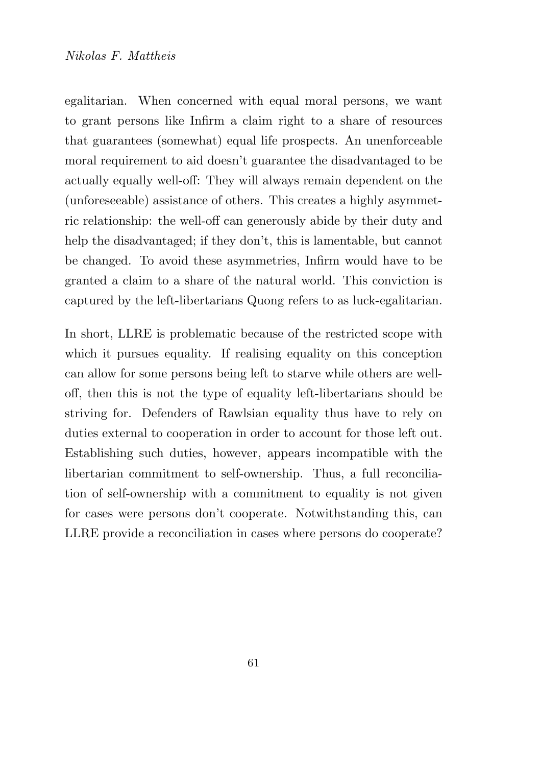#### Nikolas F. Mattheis

egalitarian. When concerned with equal moral persons, we want to grant persons like Infirm a claim right to a share of resources that guarantees (somewhat) equal life prospects. An unenforceable moral requirement to aid doesn't guarantee the disadvantaged to be actually equally well-off: They will always remain dependent on the (unforeseeable) assistance of others. This creates a highly asymmetric relationship: the well-off can generously abide by their duty and help the disadvantaged; if they don't, this is lamentable, but cannot be changed. To avoid these asymmetries, Infirm would have to be granted a claim to a share of the natural world. This conviction is captured by the left-libertarians Quong refers to as luck-egalitarian.

In short, LLRE is problematic because of the restricted scope with which it pursues equality. If realising equality on this conception can allow for some persons being left to starve while others are welloff, then this is not the type of equality left-libertarians should be striving for. Defenders of Rawlsian equality thus have to rely on duties external to cooperation in order to account for those left out. Establishing such duties, however, appears incompatible with the libertarian commitment to self-ownership. Thus, a full reconciliation of self-ownership with a commitment to equality is not given for cases were persons don't cooperate. Notwithstanding this, can LLRE provide a reconciliation in cases where persons do cooperate?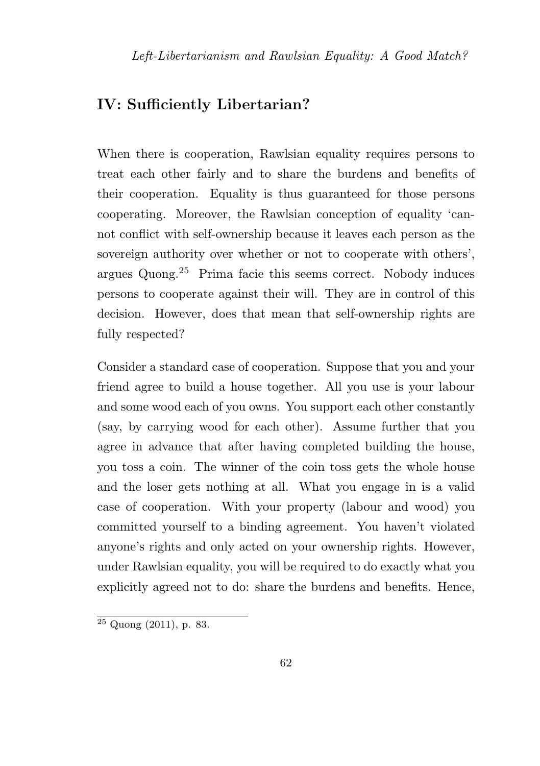### IV: Sufficiently Libertarian?

When there is cooperation, Rawlsian equality requires persons to treat each other fairly and to share the burdens and benefits of their cooperation. Equality is thus guaranteed for those persons cooperating. Moreover, the Rawlsian conception of equality 'cannot conflict with self-ownership because it leaves each person as the sovereign authority over whether or not to cooperate with others', argues Quong.<sup>25</sup> Prima facie this seems correct. Nobody induces persons to cooperate against their will. They are in control of this decision. However, does that mean that self-ownership rights are fully respected?

Consider a standard case of cooperation. Suppose that you and your friend agree to build a house together. All you use is your labour and some wood each of you owns. You support each other constantly (say, by carrying wood for each other). Assume further that you agree in advance that after having completed building the house, you toss a coin. The winner of the coin toss gets the whole house and the loser gets nothing at all. What you engage in is a valid case of cooperation. With your property (labour and wood) you committed yourself to a binding agreement. You haven't violated anyone's rights and only acted on your ownership rights. However, under Rawlsian equality, you will be required to do exactly what you explicitly agreed not to do: share the burdens and benefits. Hence,

 $\sqrt{25 \text{Quong } (2011), \text{p. } 83}.$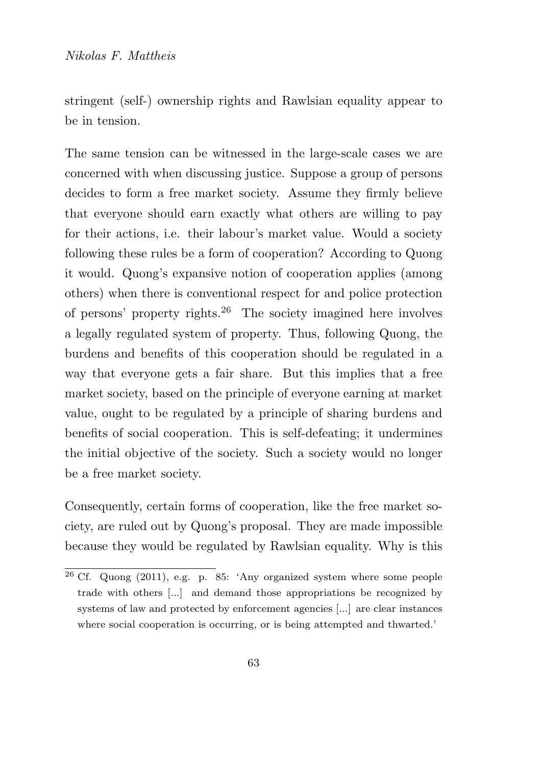stringent (self-) ownership rights and Rawlsian equality appear to be in tension.

The same tension can be witnessed in the large-scale cases we are concerned with when discussing justice. Suppose a group of persons decides to form a free market society. Assume they firmly believe that everyone should earn exactly what others are willing to pay for their actions, i.e. their labour's market value. Would a society following these rules be a form of cooperation? According to Quong it would. Quong's expansive notion of cooperation applies (among others) when there is conventional respect for and police protection of persons' property rights.<sup>26</sup> The society imagined here involves a legally regulated system of property. Thus, following Quong, the burdens and benefits of this cooperation should be regulated in a way that everyone gets a fair share. But this implies that a free market society, based on the principle of everyone earning at market value, ought to be regulated by a principle of sharing burdens and benefits of social cooperation. This is self-defeating; it undermines the initial objective of the society. Such a society would no longer be a free market society.

Consequently, certain forms of cooperation, like the free market society, are ruled out by Quong's proposal. They are made impossible because they would be regulated by Rawlsian equality. Why is this

<sup>26</sup> Cf. Quong (2011), e.g. p. 85: 'Any organized system where some people trade with others [...] and demand those appropriations be recognized by systems of law and protected by enforcement agencies [...] are clear instances where social cooperation is occurring, or is being attempted and thwarted.'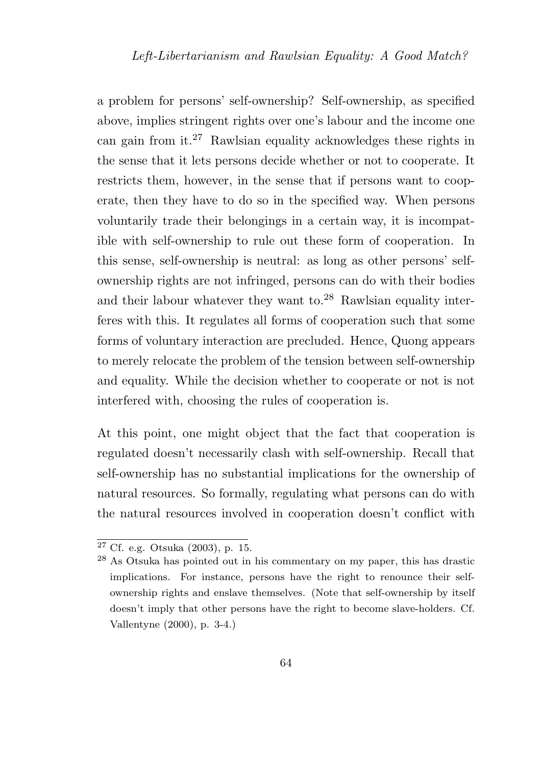a problem for persons' self-ownership? Self-ownership, as specified above, implies stringent rights over one's labour and the income one can gain from it.<sup>27</sup> Rawlsian equality acknowledges these rights in the sense that it lets persons decide whether or not to cooperate. It restricts them, however, in the sense that if persons want to cooperate, then they have to do so in the specified way. When persons voluntarily trade their belongings in a certain way, it is incompatible with self-ownership to rule out these form of cooperation. In this sense, self-ownership is neutral: as long as other persons' selfownership rights are not infringed, persons can do with their bodies and their labour whatever they want to.<sup>28</sup> Rawlsian equality interferes with this. It regulates all forms of cooperation such that some forms of voluntary interaction are precluded. Hence, Quong appears to merely relocate the problem of the tension between self-ownership and equality. While the decision whether to cooperate or not is not interfered with, choosing the rules of cooperation is.

At this point, one might object that the fact that cooperation is regulated doesn't necessarily clash with self-ownership. Recall that self-ownership has no substantial implications for the ownership of natural resources. So formally, regulating what persons can do with the natural resources involved in cooperation doesn't conflict with

<sup>27</sup> Cf. e.g. Otsuka (2003), p. 15.

 $28$  As Otsuka has pointed out in his commentary on my paper, this has drastic implications. For instance, persons have the right to renounce their selfownership rights and enslave themselves. (Note that self-ownership by itself doesn't imply that other persons have the right to become slave-holders. Cf. Vallentyne (2000), p. 3-4.)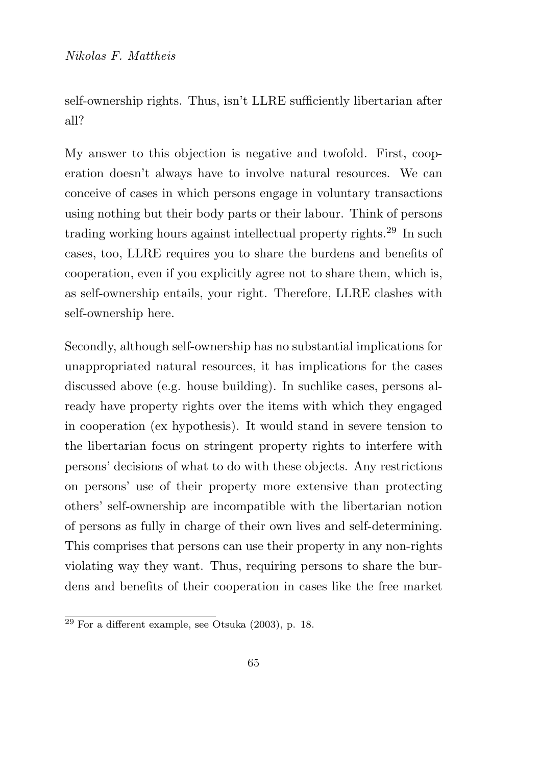self-ownership rights. Thus, isn't LLRE sufficiently libertarian after all?

My answer to this objection is negative and twofold. First, cooperation doesn't always have to involve natural resources. We can conceive of cases in which persons engage in voluntary transactions using nothing but their body parts or their labour. Think of persons trading working hours against intellectual property rights.<sup>29</sup> In such cases, too, LLRE requires you to share the burdens and benefits of cooperation, even if you explicitly agree not to share them, which is, as self-ownership entails, your right. Therefore, LLRE clashes with self-ownership here.

Secondly, although self-ownership has no substantial implications for unappropriated natural resources, it has implications for the cases discussed above (e.g. house building). In suchlike cases, persons already have property rights over the items with which they engaged in cooperation (ex hypothesis). It would stand in severe tension to the libertarian focus on stringent property rights to interfere with persons' decisions of what to do with these objects. Any restrictions on persons' use of their property more extensive than protecting others' self-ownership are incompatible with the libertarian notion of persons as fully in charge of their own lives and self-determining. This comprises that persons can use their property in any non-rights violating way they want. Thus, requiring persons to share the burdens and benefits of their cooperation in cases like the free market

 $\overline{^{29}$  For a different example, see Otsuka (2003), p. 18.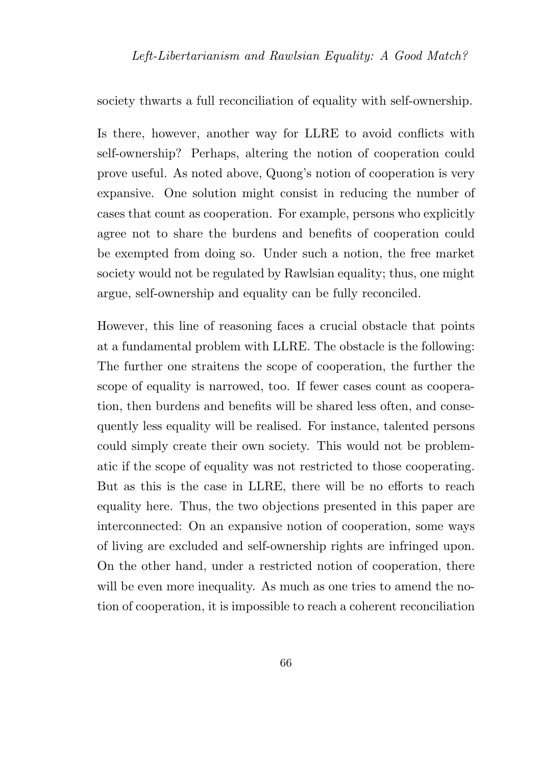society thwarts a full reconciliation of equality with self-ownership.

Is there, however, another way for LLRE to avoid conflicts with self-ownership? Perhaps, altering the notion of cooperation could prove useful. As noted above, Quong's notion of cooperation is very expansive. One solution might consist in reducing the number of cases that count as cooperation. For example, persons who explicitly agree not to share the burdens and benefits of cooperation could be exempted from doing so. Under such a notion, the free market society would not be regulated by Rawlsian equality; thus, one might argue, self-ownership and equality can be fully reconciled.

However, this line of reasoning faces a crucial obstacle that points at a fundamental problem with LLRE. The obstacle is the following: The further one straitens the scope of cooperation, the further the scope of equality is narrowed, too. If fewer cases count as cooperation, then burdens and benefits will be shared less often, and consequently less equality will be realised. For instance, talented persons could simply create their own society. This would not be problematic if the scope of equality was not restricted to those cooperating. But as this is the case in LLRE, there will be no efforts to reach equality here. Thus, the two objections presented in this paper are interconnected: On an expansive notion of cooperation, some ways of living are excluded and self-ownership rights are infringed upon. On the other hand, under a restricted notion of cooperation, there will be even more inequality. As much as one tries to amend the notion of cooperation, it is impossible to reach a coherent reconciliation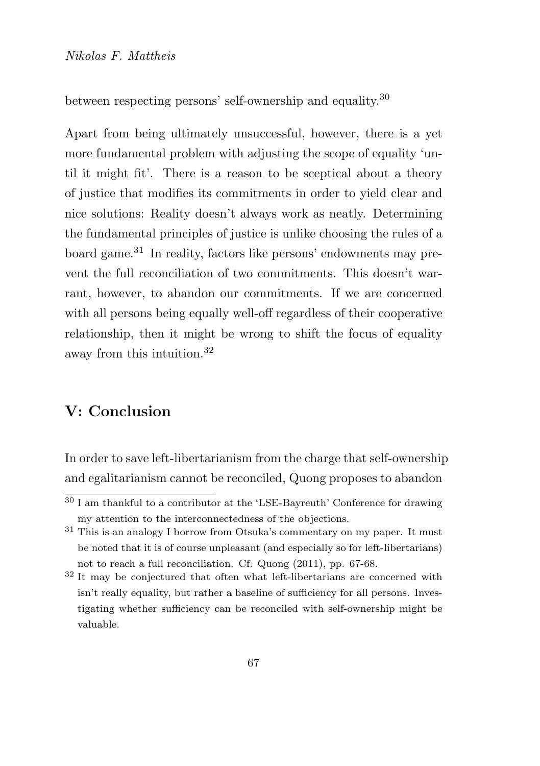between respecting persons' self-ownership and equality.<sup>30</sup>

Apart from being ultimately unsuccessful, however, there is a yet more fundamental problem with adjusting the scope of equality 'until it might fit'. There is a reason to be sceptical about a theory of justice that modifies its commitments in order to yield clear and nice solutions: Reality doesn't always work as neatly. Determining the fundamental principles of justice is unlike choosing the rules of a board game.<sup>31</sup> In reality, factors like persons' endowments may prevent the full reconciliation of two commitments. This doesn't warrant, however, to abandon our commitments. If we are concerned with all persons being equally well-off regardless of their cooperative relationship, then it might be wrong to shift the focus of equality away from this intuition.<sup>32</sup>

## V: Conclusion

In order to save left-libertarianism from the charge that self-ownership and egalitarianism cannot be reconciled, Quong proposes to abandon

<sup>&</sup>lt;sup>30</sup> I am thankful to a contributor at the 'LSE-Bayreuth' Conference for drawing my attention to the interconnectedness of the objections.

<sup>31</sup> This is an analogy I borrow from Otsuka's commentary on my paper. It must be noted that it is of course unpleasant (and especially so for left-libertarians) not to reach a full reconciliation. Cf. Quong (2011), pp. 67-68.

<sup>32</sup> It may be conjectured that often what left-libertarians are concerned with isn't really equality, but rather a baseline of sufficiency for all persons. Investigating whether sufficiency can be reconciled with self-ownership might be valuable.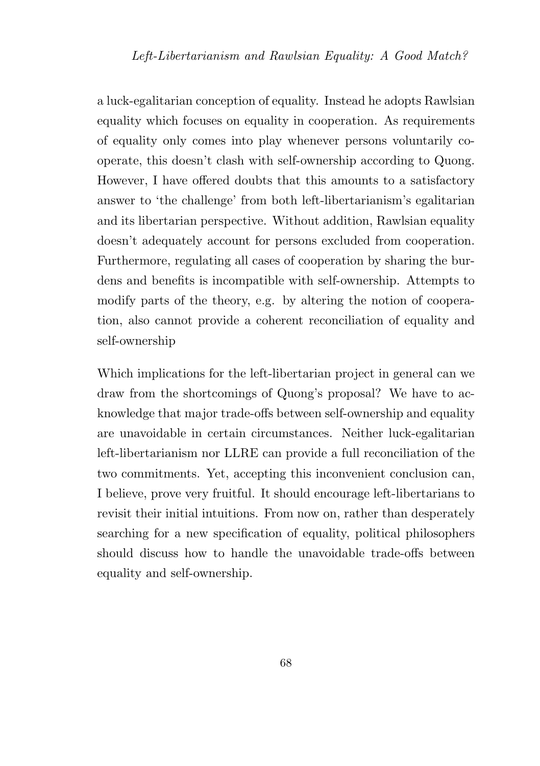a luck-egalitarian conception of equality. Instead he adopts Rawlsian equality which focuses on equality in cooperation. As requirements of equality only comes into play whenever persons voluntarily cooperate, this doesn't clash with self-ownership according to Quong. However, I have offered doubts that this amounts to a satisfactory answer to 'the challenge' from both left-libertarianism's egalitarian and its libertarian perspective. Without addition, Rawlsian equality doesn't adequately account for persons excluded from cooperation. Furthermore, regulating all cases of cooperation by sharing the burdens and benefits is incompatible with self-ownership. Attempts to modify parts of the theory, e.g. by altering the notion of cooperation, also cannot provide a coherent reconciliation of equality and self-ownership

Which implications for the left-libertarian project in general can we draw from the shortcomings of Quong's proposal? We have to acknowledge that major trade-offs between self-ownership and equality are unavoidable in certain circumstances. Neither luck-egalitarian left-libertarianism nor LLRE can provide a full reconciliation of the two commitments. Yet, accepting this inconvenient conclusion can, I believe, prove very fruitful. It should encourage left-libertarians to revisit their initial intuitions. From now on, rather than desperately searching for a new specification of equality, political philosophers should discuss how to handle the unavoidable trade-offs between equality and self-ownership.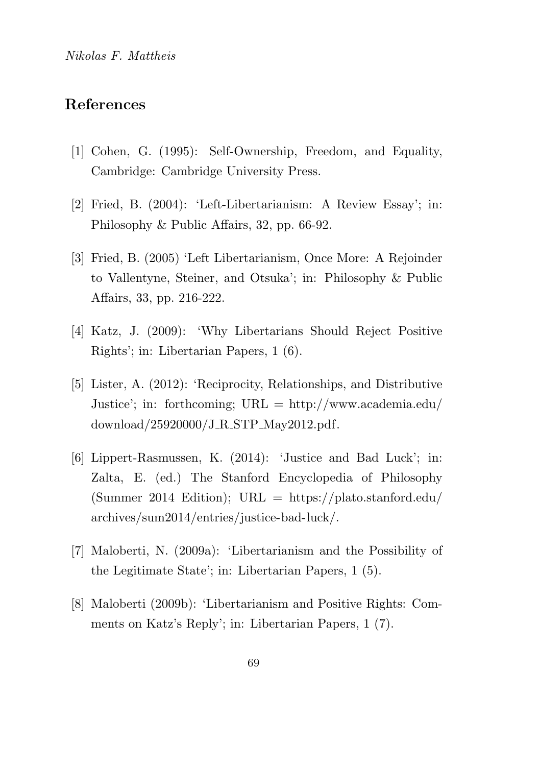# References

- [1] Cohen, G. (1995): Self-Ownership, Freedom, and Equality, Cambridge: Cambridge University Press.
- [2] Fried, B. (2004): 'Left-Libertarianism: A Review Essay'; in: Philosophy & Public Affairs, 32, pp. 66-92.
- [3] Fried, B. (2005) 'Left Libertarianism, Once More: A Rejoinder to Vallentyne, Steiner, and Otsuka'; in: Philosophy & Public Affairs, 33, pp. 216-222.
- [4] Katz, J. (2009): 'Why Libertarians Should Reject Positive Rights'; in: Libertarian Papers, 1 (6).
- [5] Lister, A. (2012): 'Reciprocity, Relationships, and Distributive Justice'; in: forthcoming; URL = http://www.academia.edu/ download/25920000/J R STP May2012.pdf.
- [6] Lippert-Rasmussen, K. (2014): 'Justice and Bad Luck'; in: Zalta, E. (ed.) The Stanford Encyclopedia of Philosophy (Summer 2014 Edition);  $URL = \frac{https://plato.stanford.edu/}{https://plato.stanford.edu/}{$ archives/sum2014/entries/justice-bad-luck/.
- [7] Maloberti, N. (2009a): 'Libertarianism and the Possibility of the Legitimate State'; in: Libertarian Papers, 1 (5).
- [8] Maloberti (2009b): 'Libertarianism and Positive Rights: Comments on Katz's Reply'; in: Libertarian Papers, 1 (7).